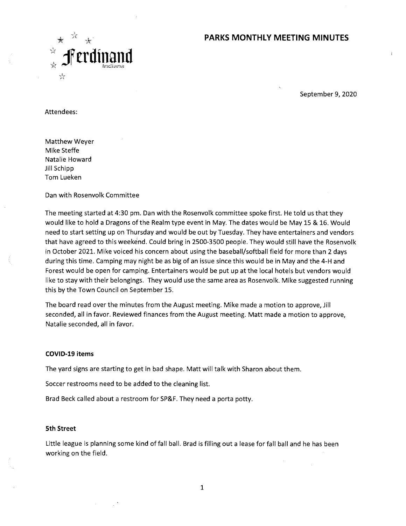## **PARKS MONTHLY MEETING MINUTES**



September 9, 2020

Attendees:

Matthew Weyer Mike Steffe Natalie Howard Jill Schipp Tom Lueken

#### Dan with Rosenvolk Committee

The meeting started at 4:30 pm. Dan with the Rosenvolk committee spoke first. He told us that they would like to hold a Dragons of the Realm type event in May. The dates would be May 15 & 16. Would need to start setting up on Thursday and would be out by Tuesday. They have entertainers and vendors that have agreed to this weekend. Could bring in 2500-3500 people. They would still have the Rosenvolk in October 2021. Mike voiced his concern about using the baseball/softball field for more than 2 days during this time. Camping may night be as big of an issue since this would be in May and the 4-H and Forest would be open for camping. Entertainers would be put up at the local hotels but vendors would like to stay with their belongings. They would use the same area as Rosenvolk. Mike suggested running this by the Town Council on September 15.

The board read over the minutes from the August meeting. Mike made a motion to approve, Jill seconded, all in favor. Reviewed finances from the August meeting. Matt made a motion to approve, Natalie seconded, all in favor.

#### **COVID-19 items**

The yard signs are starting to get in bad shape. Matt will talk with Sharon about them.

Soccer restrooms need to be added to the cleaning list.

Brad Beck called about a restroom for SP&F. They need a porta potty.

#### **5th Street**

Little league is planning some kind of fall ball. Brad is filling out a lease for fall ball and he has been working on the field.

1